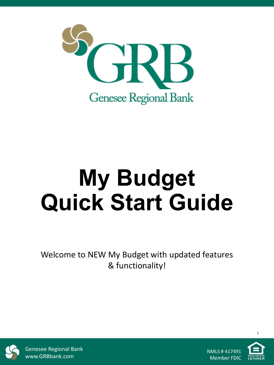

# **My Budget Quick Start Guide**

Welcome to NEW My Budget with updated features & functionality!



Genesee Regional Bank www.GRBbank.com

NMLS # 417491 Member FDIC

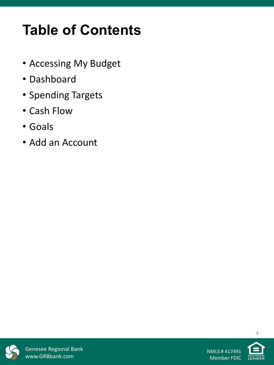# **Table of Contents**

- Accessing My Budget
- Dashboard
- Spending Targets
- Cash Flow
- Goals
- Add an Account



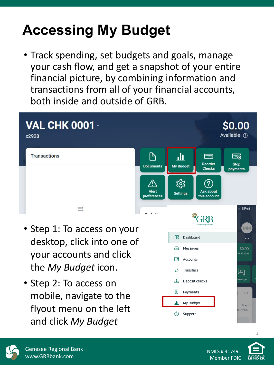# **Accessing My Budget**

• Track spending, set budgets and goals, manage your cash flow, and get a snapshot of your entire financial picture, by combining information and transactions from all of your financial accounts, both inside and outside of GRB.



- Step 1: To access on your desktop, click into one of your accounts and click the *My Budget* icon.
- Step 2: To access on mobile, navigate to the flyout menu on the left and click *My Budget*





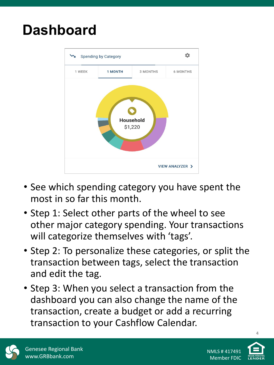### **Dashboard**



- See which spending category you have spent the most in so far this month.
- Step 1: Select other parts of the wheel to see other major category spending. Your transactions will categorize themselves with 'tags'.
- Step 2: To personalize these categories, or split the transaction between tags, select the transaction and edit the tag.
- Step 3: When you select a transaction from the dashboard you can also change the name of the transaction, create a budget or add a recurring transaction to your Cashflow Calendar.



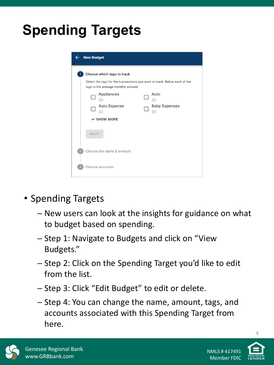# **Spending Targets**

| <b>New Budget</b>                                                                                                                              |                                            |
|------------------------------------------------------------------------------------------------------------------------------------------------|--------------------------------------------|
| Choose which tags to track<br>Select the tags for the transactions you want to track. Below each of the<br>tags is the average monthly amount. |                                            |
| Appliances<br>\$0<br>Auto Expense<br>\$0                                                                                                       | Auto<br>\$0<br><b>Baby Expenses</b><br>\$0 |
| $\times$ SHOW MORE<br><b>NEXT</b>                                                                                                              |                                            |
| Choose the name & amount                                                                                                                       |                                            |
| Choose accounts                                                                                                                                |                                            |

- Spending Targets
	- ─ New users can look at the insights for guidance on what to budget based on spending.
	- ─ Step 1: Navigate to Budgets and click on "View Budgets."
	- ─ Step 2: Click on the Spending Target you'd like to edit from the list.
	- ─ Step 3: Click "Edit Budget" to edit or delete.
	- ─ Step 4: You can change the name, amount, tags, and accounts associated with this Spending Target from here.



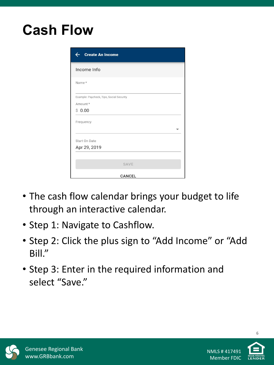### **Cash Flow**

| <b>Create An Income</b>                  |
|------------------------------------------|
| Income Info                              |
| Name*                                    |
| Example: Paycheck, Tips, Social Security |
| Amount *                                 |
| \$0.00                                   |
| Frequency                                |
| Start On Date                            |
| Apr 29, 2019                             |
|                                          |
| SAVE                                     |
| <b>CANCEL</b>                            |

- The cash flow calendar brings your budget to life through an interactive calendar.
- Step 1: Navigate to Cashflow.
- Step 2: Click the plus sign to "Add Income" or "Add Bill."
- Step 3: Enter in the required information and select "Save."



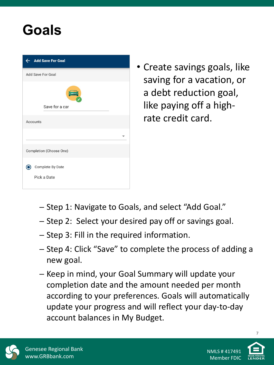#### **Goals**

| <b>Add Save For Goal</b><br>←   |
|---------------------------------|
| Add Save For Goal               |
|                                 |
| Save for a car                  |
| Accounts                        |
|                                 |
| Completion (Choose One)         |
| Complete By Date<br>Pick a Date |

• Create savings goals, like saving for a vacation, or a debt reduction goal, like paying off a highrate credit card.

- ─ Step 1: Navigate to Goals, and select "Add Goal."
- ─ Step 2: Select your desired pay off or savings goal.
- ─ Step 3: Fill in the required information.
- ─ Step 4: Click "Save" to complete the process of adding a new goal.
- ─ Keep in mind, your Goal Summary will update your completion date and the amount needed per month according to your preferences. Goals will automatically update your progress and will reflect your day-to-day account balances in My Budget.